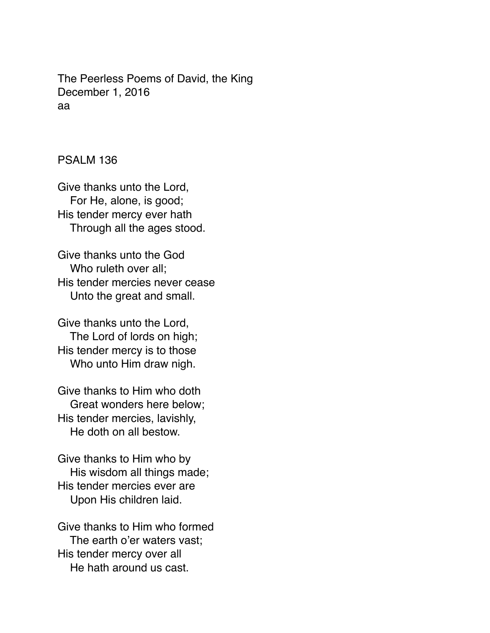The Peerless Poems of David, the King December 1, 2016 aa

PSALM 136

Give thanks unto the Lord, For He, alone, is good; His tender mercy ever hath Through all the ages stood.

Give thanks unto the God Who ruleth over all; His tender mercies never cease Unto the great and small.

Give thanks unto the Lord, The Lord of lords on high; His tender mercy is to those Who unto Him draw nigh.

Give thanks to Him who doth Great wonders here below; His tender mercies, lavishly, He doth on all bestow.

Give thanks to Him who by His wisdom all things made; His tender mercies ever are Upon His children laid.

Give thanks to Him who formed The earth o'er waters vast; His tender mercy over all He hath around us cast.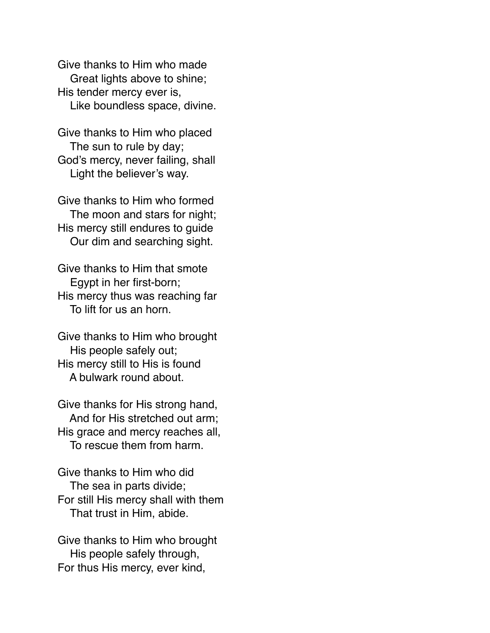Give thanks to Him who made Great lights above to shine; His tender mercy ever is, Like boundless space, divine.

Give thanks to Him who placed The sun to rule by day; God's mercy, never failing, shall Light the believer's way.

Give thanks to Him who formed The moon and stars for night; His mercy still endures to guide Our dim and searching sight.

Give thanks to Him that smote Egypt in her first-born; His mercy thus was reaching far To lift for us an horn.

Give thanks to Him who brought His people safely out; His mercy still to His is found A bulwark round about.

Give thanks for His strong hand, And for His stretched out arm; His grace and mercy reaches all, To rescue them from harm.

Give thanks to Him who did The sea in parts divide; For still His mercy shall with them That trust in Him, abide.

Give thanks to Him who brought His people safely through, For thus His mercy, ever kind,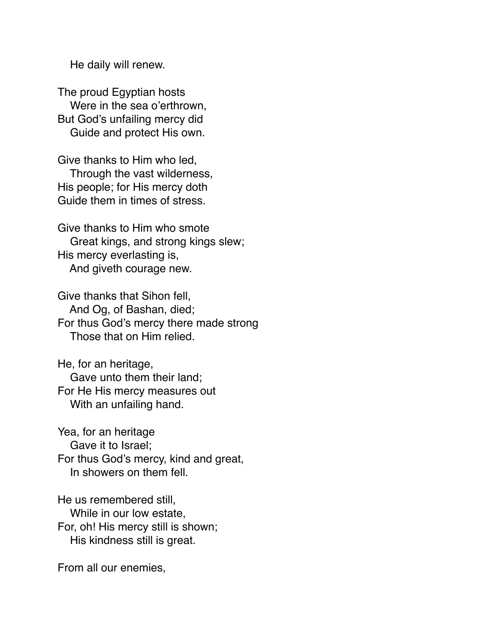He daily will renew.

The proud Egyptian hosts Were in the sea o'erthrown, But God's unfailing mercy did Guide and protect His own.

Give thanks to Him who led, Through the vast wilderness, His people; for His mercy doth Guide them in times of stress.

Give thanks to Him who smote Great kings, and strong kings slew; His mercy everlasting is, And giveth courage new.

Give thanks that Sihon fell, And Og, of Bashan, died; For thus God's mercy there made strong Those that on Him relied.

He, for an heritage, Gave unto them their land; For He His mercy measures out With an unfailing hand.

Yea, for an heritage Gave it to Israel; For thus God's mercy, kind and great, In showers on them fell.

He us remembered still, While in our low estate, For, oh! His mercy still is shown; His kindness still is great.

From all our enemies,